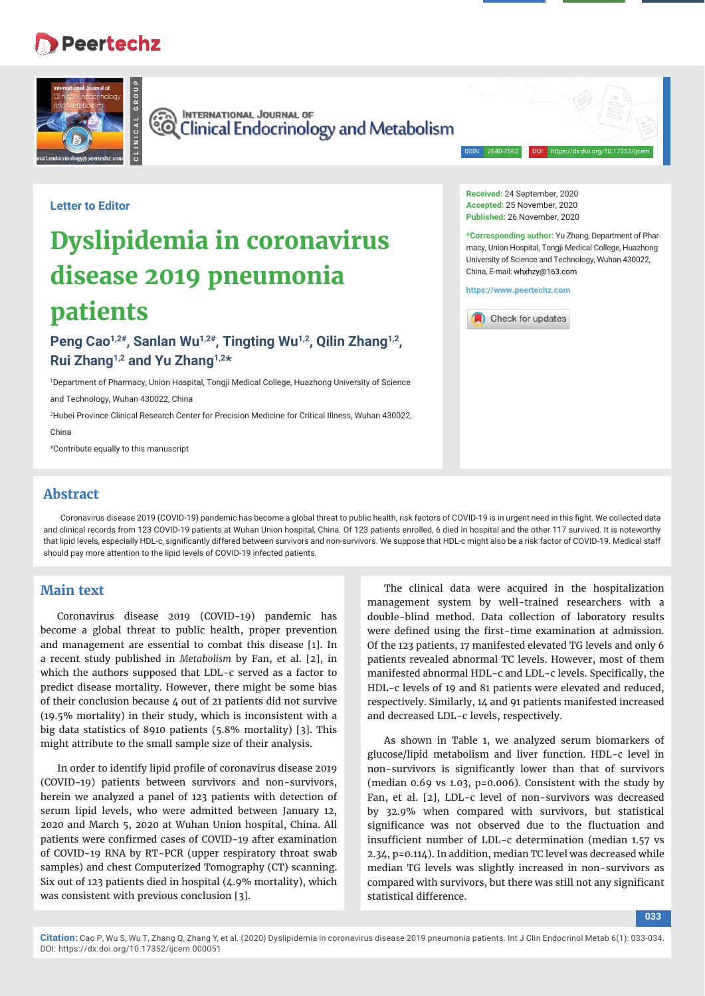# **Peertechz**



**CO INTERNATIONAL JOURNAL OF**<br>CO Clinical Endocrinology and Metabolism

**Received:** 24 September, 2020 **Accepted:** 25 November, 2020 **Published:** 26 November, 2020

China, E-mail: whxhzy@163.com **https://www.peertechz.com**

Check for updates

ISSN: 2640-7582 DOI: https://dx.doi.org/10.17352/ijcem

**\*Corresponding author:** Yu Zhang, Department of Pharmacy, Union Hospital, Tongji Medical College, Huazhong University of Science and Technology, Wuhan 430022,

**Letter to Editor**

# **Dyslipidemia in coronavirus disease 2019 pneumonia patients**

Peng Cao<sup>1,2#</sup>, Sanlan Wu<sup>1,2#</sup>, Tingting Wu<sup>1,2</sup>, Qilin Zhang<sup>1,2</sup>, **Rui Zhang1,2 and Yu Zhang1,2\*** 

1 Department of Pharmacy, Union Hospital, Tongji Medical College, Huazhong University of Science

and Technology, Wuhan 430022, China

2 Hubei Province Clinical Research Center for Precision Medicine for Critical Illness, Wuhan 430022, China

#Contribute equally to this manuscript

### **Abstract**

Coronavirus disease 2019 (COVID-19) pandemic has become a global threat to public health, risk factors of COVID-19 is in urgent need in this fight. We collected data and clinical records from 123 COVID-19 patients at Wuhan Union hospital, China. Of 123 patients enrolled, 6 died in hospital and the other 117 survived. It is noteworthy that lipid levels, especially HDL-c, significantly differed between survivors and non-survivors. We suppose that HDL-c might also be a risk factor of COVID-19. Medical staff should pay more attention to the lipid levels of COVID-19 infected patients.

## **Main text**

Coronavirus disease 2019 (COVID-19) pandemic has become a global threat to public health, proper prevention and management are essential to combat this disease [1]. In a recent study published in *Metabolism* by Fan, et al. [2], in which the authors supposed that LDL-c served as a factor to predict disease mortality. However, there might be some bias of their conclusion because 4 out of 21 patients did not survive (19.5% mortality) in their study, which is inconsistent with a big data statistics of 8910 patients (5.8% mortality) [3]. This might attribute to the small sample size of their analysis.

In order to identify lipid profile of coronavirus disease 2019 (COVID-19) patients between survivors and non-survivors, herein we analyzed a panel of 123 patients with detection of serum lipid levels, who were admitted between January 12, 2020 and March 5, 2020 at Wuhan Union hospital, China. All patients were confirmed cases of COVID-19 after examination of COVID-19 RNA by RT-PCR (upper respiratory throat swab samples) and chest Computerized Tomography (CT) scanning. Six out of 123 patients died in hospital (4.9% mortality), which was consistent with previous conclusion [3].

The clinical data were acquired in the hospitalization management system by well-trained researchers with a double-blind method. Data collection of laboratory results were defined using the first-time examination at admission. Of the 123 patients, 17 manifested elevated TG levels and only 6 patients revealed abnormal TC levels. However, most of them manifested abnormal HDL-c and LDL-c levels. Specifically, the HDL-c levels of 19 and 81 patients were elevated and reduced, respectively. Similarly, 14 and 91 patients manifested increased and decreased LDL-c levels, respectively.

As shown in Table 1, we analyzed serum biomarkers of glucose/lipid metabolism and liver function. HDL-c level in non-survivors is significantly lower than that of survivors (median 0.69 vs 1.03, p=0.006). Consistent with the study by Fan, et al. [2], LDL-c level of non-survivors was decreased by 32.9% when compared with survivors, but statistical significance was not observed due to the fluctuation and insufficient number of LDL-c determination (median 1.57 vs 2.34, p=0.114). In addition, median TC level was decreased while median TG levels was slightly increased in non-survivors as compared with survivors, but there was still not any significant statistical difference.

**033**